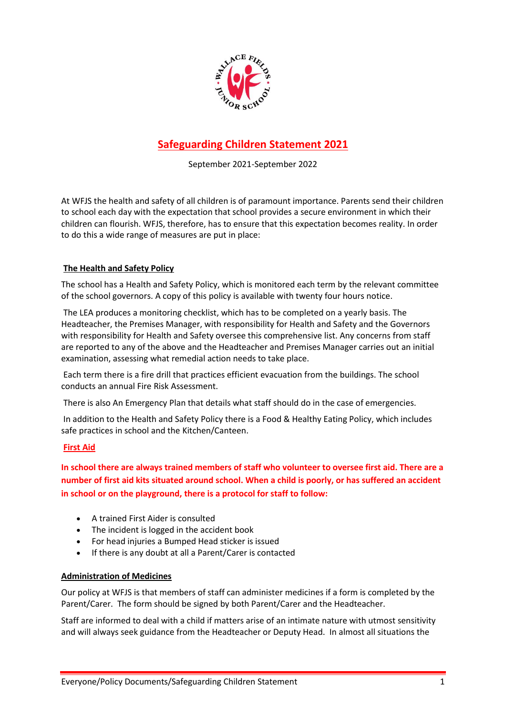

# **Safeguarding Children Statement 2021**

September 2021-September 2022

At WFJS the health and safety of all children is of paramount importance. Parents send their children to school each day with the expectation that school provides a secure environment in which their children can flourish. WFJS, therefore, has to ensure that this expectation becomes reality. In order to do this a wide range of measures are put in place:

## **The Health and Safety Policy**

The school has a Health and Safety Policy, which is monitored each term by the relevant committee of the school governors. A copy of this policy is available with twenty four hours notice.

The LEA produces a monitoring checklist, which has to be completed on a yearly basis. The Headteacher, the Premises Manager, with responsibility for Health and Safety and the Governors with responsibility for Health and Safety oversee this comprehensive list. Any concerns from staff are reported to any of the above and the Headteacher and Premises Manager carries out an initial examination, assessing what remedial action needs to take place.

Each term there is a fire drill that practices efficient evacuation from the buildings. The school conducts an annual Fire Risk Assessment.

There is also An Emergency Plan that details what staff should do in the case of emergencies.

In addition to the Health and Safety Policy there is a Food & Healthy Eating Policy, which includes safe practices in school and the Kitchen/Canteen.

## **First Aid**

**In school there are always trained members of staff who volunteer to oversee first aid. There are a number of first aid kits situated around school. When a child is poorly, or has suffered an accident in school or on the playground, there is a protocol for staff to follow:**

- A trained First Aider is consulted
- The incident is logged in the accident book
- For head injuries a Bumped Head sticker is issued
- If there is any doubt at all a Parent/Carer is contacted

#### **Administration of Medicines**

Our policy at WFJS is that members of staff can administer medicines if a form is completed by the Parent/Carer. The form should be signed by both Parent/Carer and the Headteacher.

Staff are informed to deal with a child if matters arise of an intimate nature with utmost sensitivity and will always seek guidance from the Headteacher or Deputy Head. In almost all situations the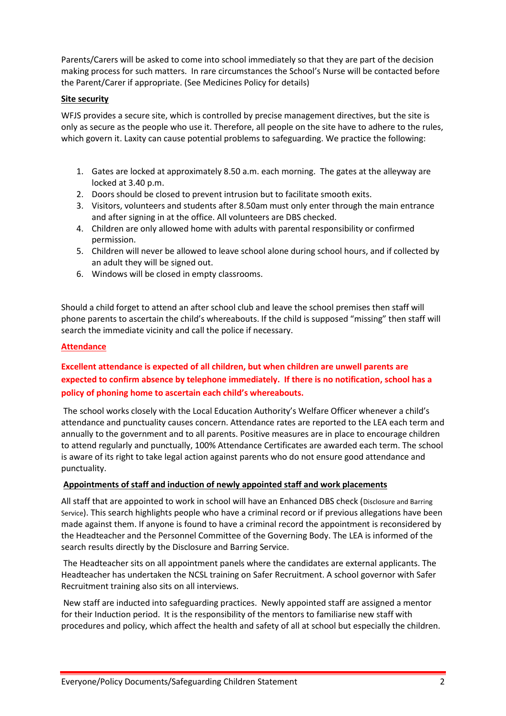Parents/Carers will be asked to come into school immediately so that they are part of the decision making process for such matters. In rare circumstances the School's Nurse will be contacted before the Parent/Carer if appropriate. (See Medicines Policy for details)

## **Site security**

WFJS provides a secure site, which is controlled by precise management directives, but the site is only as secure as the people who use it. Therefore, all people on the site have to adhere to the rules, which govern it. Laxity can cause potential problems to safeguarding. We practice the following:

- 1. Gates are locked at approximately 8.50 a.m. each morning. The gates at the alleyway are locked at 3.40 p.m.
- 2. Doors should be closed to prevent intrusion but to facilitate smooth exits.
- 3. Visitors, volunteers and students after 8.50am must only enter through the main entrance and after signing in at the office. All volunteers are DBS checked.
- 4. Children are only allowed home with adults with parental responsibility or confirmed permission.
- 5. Children will never be allowed to leave school alone during school hours, and if collected by an adult they will be signed out.
- 6. Windows will be closed in empty classrooms.

Should a child forget to attend an after school club and leave the school premises then staff will phone parents to ascertain the child's whereabouts. If the child is supposed "missing" then staff will search the immediate vicinity and call the police if necessary.

## **Attendance**

## **Excellent attendance is expected of all children, but when children are unwell parents are expected to confirm absence by telephone immediately. If there is no notification, school has a policy of phoning home to ascertain each child's whereabouts.**

The school works closely with the Local Education Authority's Welfare Officer whenever a child's attendance and punctuality causes concern. Attendance rates are reported to the LEA each term and annually to the government and to all parents. Positive measures are in place to encourage children to attend regularly and punctually, 100% Attendance Certificates are awarded each term. The school is aware of its right to take legal action against parents who do not ensure good attendance and punctuality.

#### **Appointments of staff and induction of newly appointed staff and work placements**

All staff that are appointed to work in school will have an Enhanced DBS check (Disclosure and Barring Service). This search highlights people who have a criminal record or if previous allegations have been made against them. If anyone is found to have a criminal record the appointment is reconsidered by the Headteacher and the Personnel Committee of the Governing Body. The LEA is informed of the search results directly by the Disclosure and Barring Service.

The Headteacher sits on all appointment panels where the candidates are external applicants. The Headteacher has undertaken the NCSL training on Safer Recruitment. A school governor with Safer Recruitment training also sits on all interviews.

New staff are inducted into safeguarding practices. Newly appointed staff are assigned a mentor for their Induction period. It is the responsibility of the mentors to familiarise new staff with procedures and policy, which affect the health and safety of all at school but especially the children.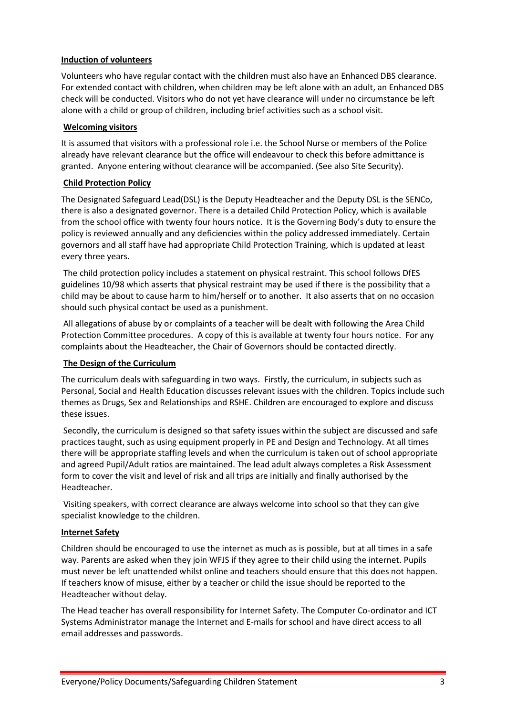## **Induction of volunteers**

Volunteers who have regular contact with the children must also have an Enhanced DBS clearance. For extended contact with children, when children may be left alone with an adult, an Enhanced DBS check will be conducted. Visitors who do not yet have clearance will under no circumstance be left alone with a child or group of children, including brief activities such as a school visit.

## **Welcoming visitors**

It is assumed that visitors with a professional role i.e. the School Nurse or members of the Police already have relevant clearance but the office will endeavour to check this before admittance is granted. Anyone entering without clearance will be accompanied. (See also Site Security).

## **Child Protection Policy**

The Designated Safeguard Lead(DSL) is the Deputy Headteacher and the Deputy DSL is the SENCo, there is also a designated governor. There is a detailed Child Protection Policy, which is available from the school office with twenty four hours notice. It is the Governing Body's duty to ensure the policy is reviewed annually and any deficiencies within the policy addressed immediately. Certain governors and all staff have had appropriate Child Protection Training, which is updated at least every three years.

The child protection policy includes a statement on physical restraint. This school follows DfES guidelines 10/98 which asserts that physical restraint may be used if there is the possibility that a child may be about to cause harm to him/herself or to another. It also asserts that on no occasion should such physical contact be used as a punishment.

All allegations of abuse by or complaints of a teacher will be dealt with following the Area Child Protection Committee procedures. A copy of this is available at twenty four hours notice. For any complaints about the Headteacher, the Chair of Governors should be contacted directly.

## **The Design of the Curriculum**

The curriculum deals with safeguarding in two ways. Firstly, the curriculum, in subjects such as Personal, Social and Health Education discusses relevant issues with the children. Topics include such themes as Drugs, Sex and Relationships and RSHE. Children are encouraged to explore and discuss these issues.

Secondly, the curriculum is designed so that safety issues within the subject are discussed and safe practices taught, such as using equipment properly in PE and Design and Technology. At all times there will be appropriate staffing levels and when the curriculum is taken out of school appropriate and agreed Pupil/Adult ratios are maintained. The lead adult always completes a Risk Assessment form to cover the visit and level of risk and all trips are initially and finally authorised by the Headteacher.

Visiting speakers, with correct clearance are always welcome into school so that they can give specialist knowledge to the children.

#### **Internet Safety**

Children should be encouraged to use the internet as much as is possible, but at all times in a safe way. Parents are asked when they join WFJS if they agree to their child using the internet. Pupils must never be left unattended whilst online and teachers should ensure that this does not happen. If teachers know of misuse, either by a teacher or child the issue should be reported to the Headteacher without delay.

The Head teacher has overall responsibility for Internet Safety. The Computer Co-ordinator and ICT Systems Administrator manage the Internet and E-mails for school and have direct access to all email addresses and passwords.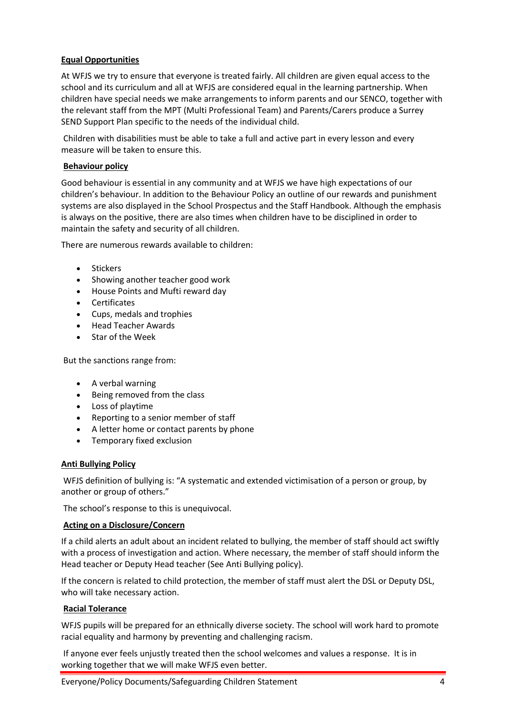## **Equal Opportunities**

At WFJS we try to ensure that everyone is treated fairly. All children are given equal access to the school and its curriculum and all at WFJS are considered equal in the learning partnership. When children have special needs we make arrangements to inform parents and our SENCO, together with the relevant staff from the MPT (Multi Professional Team) and Parents/Carers produce a Surrey SEND Support Plan specific to the needs of the individual child.

Children with disabilities must be able to take a full and active part in every lesson and every measure will be taken to ensure this.

## **Behaviour policy**

Good behaviour is essential in any community and at WFJS we have high expectations of our children's behaviour. In addition to the Behaviour Policy an outline of our rewards and punishment systems are also displayed in the School Prospectus and the Staff Handbook. Although the emphasis is always on the positive, there are also times when children have to be disciplined in order to maintain the safety and security of all children.

There are numerous rewards available to children:

- Stickers
- Showing another teacher good work
- House Points and Mufti reward day
- Certificates
- Cups, medals and trophies
- Head Teacher Awards
- Star of the Week

But the sanctions range from:

- A verbal warning
- Being removed from the class
- Loss of playtime
- Reporting to a senior member of staff
- A letter home or contact parents by phone
- Temporary fixed exclusion

#### **Anti Bullying Policy**

WFJS definition of bullying is: "A systematic and extended victimisation of a person or group, by another or group of others."

The school's response to this is unequivocal.

#### **Acting on a Disclosure/Concern**

If a child alerts an adult about an incident related to bullying, the member of staff should act swiftly with a process of investigation and action. Where necessary, the member of staff should inform the Head teacher or Deputy Head teacher (See Anti Bullying policy).

If the concern is related to child protection, the member of staff must alert the DSL or Deputy DSL, who will take necessary action.

#### **Racial Tolerance**

WFJS pupils will be prepared for an ethnically diverse society. The school will work hard to promote racial equality and harmony by preventing and challenging racism.

If anyone ever feels unjustly treated then the school welcomes and values a response. It is in working together that we will make WFJS even better.